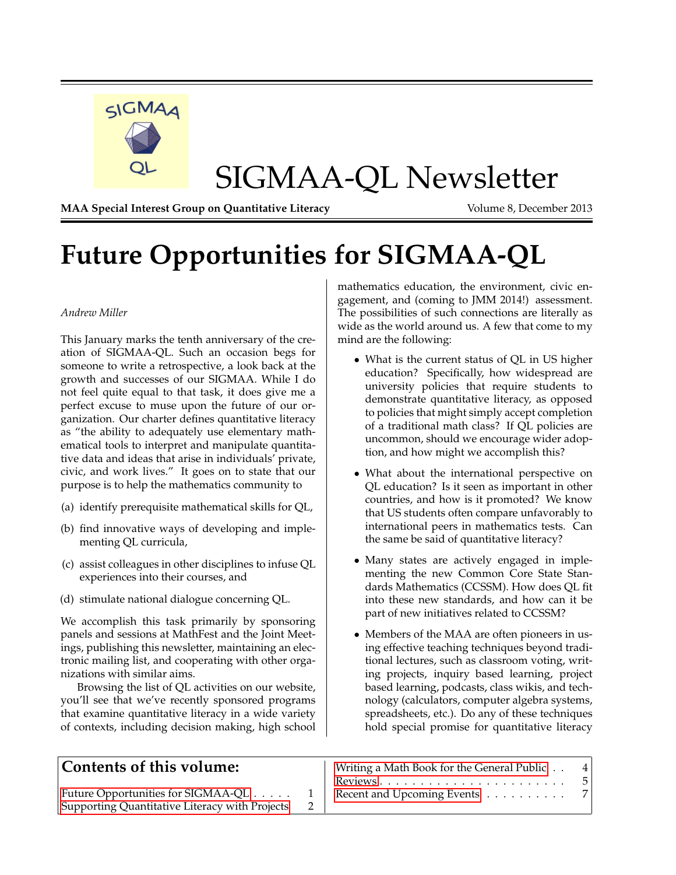

<span id="page-0-0"></span>**Future Opportunities for SIGMAA-QL**

#### *Andrew Miller*

This January marks the tenth anniversary of the creation of SIGMAA-QL. Such an occasion begs for someone to write a retrospective, a look back at the growth and successes of our SIGMAA. While I do not feel quite equal to that task, it does give me a perfect excuse to muse upon the future of our organization. Our charter defines quantitative literacy as "the ability to adequately use elementary mathematical tools to interpret and manipulate quantitative data and ideas that arise in individuals' private, civic, and work lives." It goes on to state that our purpose is to help the mathematics community to

- (a) identify prerequisite mathematical skills for QL,
- (b) find innovative ways of developing and implementing QL curricula,
- (c) assist colleagues in other disciplines to infuse QL experiences into their courses, and
- (d) stimulate national dialogue concerning QL.

We accomplish this task primarily by sponsoring panels and sessions at MathFest and the Joint Meetings, publishing this newsletter, maintaining an electronic mailing list, and cooperating with other organizations with similar aims.

Browsing the list of QL activities on our website, you'll see that we've recently sponsored programs that examine quantitative literacy in a wide variety of contexts, including decision making, high school

mathematics education, the environment, civic engagement, and (coming to JMM 2014!) assessment. The possibilities of such connections are literally as wide as the world around us. A few that come to my mind are the following:

- What is the current status of QL in US higher education? Specifically, how widespread are university policies that require students to demonstrate quantitative literacy, as opposed to policies that might simply accept completion of a traditional math class? If QL policies are uncommon, should we encourage wider adoption, and how might we accomplish this?
- What about the international perspective on QL education? Is it seen as important in other countries, and how is it promoted? We know that US students often compare unfavorably to international peers in mathematics tests. Can the same be said of quantitative literacy?
- Many states are actively engaged in implementing the new Common Core State Standards Mathematics (CCSSM). How does QL fit into these new standards, and how can it be part of new initiatives related to CCSSM?
- Members of the MAA are often pioneers in using effective teaching techniques beyond traditional lectures, such as classroom voting, writing projects, inquiry based learning, project based learning, podcasts, class wikis, and technology (calculators, computer algebra systems, spreadsheets, etc.). Do any of these techniques hold special promise for quantitative literacy

| Contents of this volume:                       | Writing a Math Book for the General Public | 4<br>$-5$ |
|------------------------------------------------|--------------------------------------------|-----------|
|                                                |                                            |           |
| Future Opportunities for SIGMAA-QL             | Recent and Upcoming Events 7               |           |
| Supporting Quantitative Literacy with Projects |                                            |           |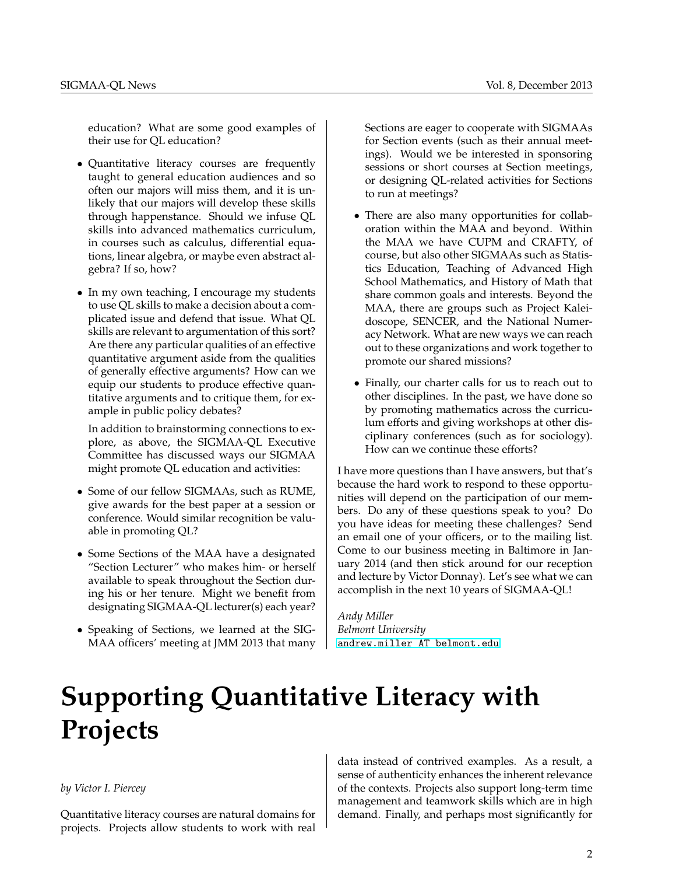education? What are some good examples of their use for QL education?

- Quantitative literacy courses are frequently taught to general education audiences and so often our majors will miss them, and it is unlikely that our majors will develop these skills through happenstance. Should we infuse QL skills into advanced mathematics curriculum, in courses such as calculus, differential equations, linear algebra, or maybe even abstract algebra? If so, how?
- In my own teaching, I encourage my students to use QL skills to make a decision about a complicated issue and defend that issue. What QL skills are relevant to argumentation of this sort? Are there any particular qualities of an effective quantitative argument aside from the qualities of generally effective arguments? How can we equip our students to produce effective quantitative arguments and to critique them, for example in public policy debates?

In addition to brainstorming connections to explore, as above, the SIGMAA-QL Executive Committee has discussed ways our SIGMAA might promote QL education and activities:

- Some of our fellow SIGMAAs, such as RUME, give awards for the best paper at a session or conference. Would similar recognition be valuable in promoting QL?
- Some Sections of the MAA have a designated "Section Lecturer" who makes him- or herself available to speak throughout the Section during his or her tenure. Might we benefit from designating SIGMAA-QL lecturer(s) each year?
- Speaking of Sections, we learned at the SIG-MAA officers' meeting at JMM 2013 that many

Sections are eager to cooperate with SIGMAAs for Section events (such as their annual meetings). Would we be interested in sponsoring sessions or short courses at Section meetings, or designing QL-related activities for Sections to run at meetings?

- There are also many opportunities for collaboration within the MAA and beyond. Within the MAA we have CUPM and CRAFTY, of course, but also other SIGMAAs such as Statistics Education, Teaching of Advanced High School Mathematics, and History of Math that share common goals and interests. Beyond the MAA, there are groups such as Project Kaleidoscope, SENCER, and the National Numeracy Network. What are new ways we can reach out to these organizations and work together to promote our shared missions?
- Finally, our charter calls for us to reach out to other disciplines. In the past, we have done so by promoting mathematics across the curriculum efforts and giving workshops at other disciplinary conferences (such as for sociology). How can we continue these efforts?

I have more questions than I have answers, but that's because the hard work to respond to these opportunities will depend on the participation of our members. Do any of these questions speak to you? Do you have ideas for meeting these challenges? Send an email one of your officers, or to the mailing list. Come to our business meeting in Baltimore in January 2014 (and then stick around for our reception and lecture by Victor Donnay). Let's see what we can accomplish in the next 10 years of SIGMAA-QL!

*Andy Miller Belmont University* [andrew.miller AT belmont.edu](mailto:andrew.miller AT belmont.edu)

# <span id="page-1-0"></span>**Supporting Quantitative Literacy with Projects**

#### *by Victor I. Piercey*

Quantitative literacy courses are natural domains for projects. Projects allow students to work with real data instead of contrived examples. As a result, a sense of authenticity enhances the inherent relevance of the contexts. Projects also support long-term time management and teamwork skills which are in high demand. Finally, and perhaps most significantly for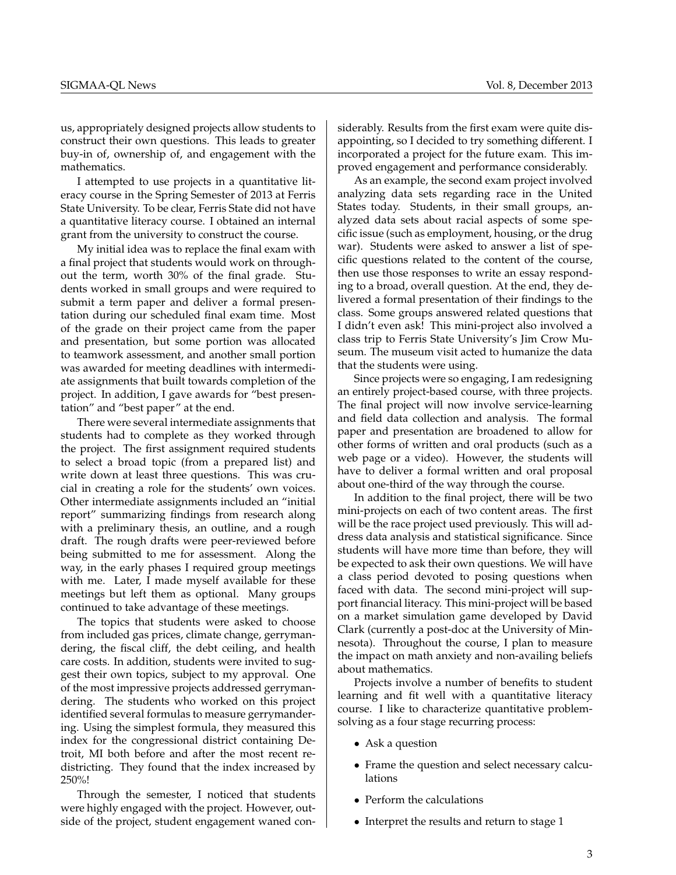us, appropriately designed projects allow students to construct their own questions. This leads to greater buy-in of, ownership of, and engagement with the mathematics.

I attempted to use projects in a quantitative literacy course in the Spring Semester of 2013 at Ferris State University. To be clear, Ferris State did not have a quantitative literacy course. I obtained an internal grant from the university to construct the course.

My initial idea was to replace the final exam with a final project that students would work on throughout the term, worth 30% of the final grade. Students worked in small groups and were required to submit a term paper and deliver a formal presentation during our scheduled final exam time. Most of the grade on their project came from the paper and presentation, but some portion was allocated to teamwork assessment, and another small portion was awarded for meeting deadlines with intermediate assignments that built towards completion of the project. In addition, I gave awards for "best presentation" and "best paper" at the end.

There were several intermediate assignments that students had to complete as they worked through the project. The first assignment required students to select a broad topic (from a prepared list) and write down at least three questions. This was crucial in creating a role for the students' own voices. Other intermediate assignments included an "initial report" summarizing findings from research along with a preliminary thesis, an outline, and a rough draft. The rough drafts were peer-reviewed before being submitted to me for assessment. Along the way, in the early phases I required group meetings with me. Later, I made myself available for these meetings but left them as optional. Many groups continued to take advantage of these meetings.

The topics that students were asked to choose from included gas prices, climate change, gerrymandering, the fiscal cliff, the debt ceiling, and health care costs. In addition, students were invited to suggest their own topics, subject to my approval. One of the most impressive projects addressed gerrymandering. The students who worked on this project identified several formulas to measure gerrymandering. Using the simplest formula, they measured this index for the congressional district containing Detroit, MI both before and after the most recent redistricting. They found that the index increased by 250%!

Through the semester, I noticed that students were highly engaged with the project. However, outside of the project, student engagement waned con-

siderably. Results from the first exam were quite disappointing, so I decided to try something different. I incorporated a project for the future exam. This improved engagement and performance considerably.

As an example, the second exam project involved analyzing data sets regarding race in the United States today. Students, in their small groups, analyzed data sets about racial aspects of some specific issue (such as employment, housing, or the drug war). Students were asked to answer a list of specific questions related to the content of the course, then use those responses to write an essay responding to a broad, overall question. At the end, they delivered a formal presentation of their findings to the class. Some groups answered related questions that I didn't even ask! This mini-project also involved a class trip to Ferris State University's Jim Crow Museum. The museum visit acted to humanize the data that the students were using.

Since projects were so engaging, I am redesigning an entirely project-based course, with three projects. The final project will now involve service-learning and field data collection and analysis. The formal paper and presentation are broadened to allow for other forms of written and oral products (such as a web page or a video). However, the students will have to deliver a formal written and oral proposal about one-third of the way through the course.

In addition to the final project, there will be two mini-projects on each of two content areas. The first will be the race project used previously. This will address data analysis and statistical significance. Since students will have more time than before, they will be expected to ask their own questions. We will have a class period devoted to posing questions when faced with data. The second mini-project will support financial literacy. This mini-project will be based on a market simulation game developed by David Clark (currently a post-doc at the University of Minnesota). Throughout the course, I plan to measure the impact on math anxiety and non-availing beliefs about mathematics.

Projects involve a number of benefits to student learning and fit well with a quantitative literacy course. I like to characterize quantitative problemsolving as a four stage recurring process:

- Ask a question
- Frame the question and select necessary calculations
- Perform the calculations
- Interpret the results and return to stage 1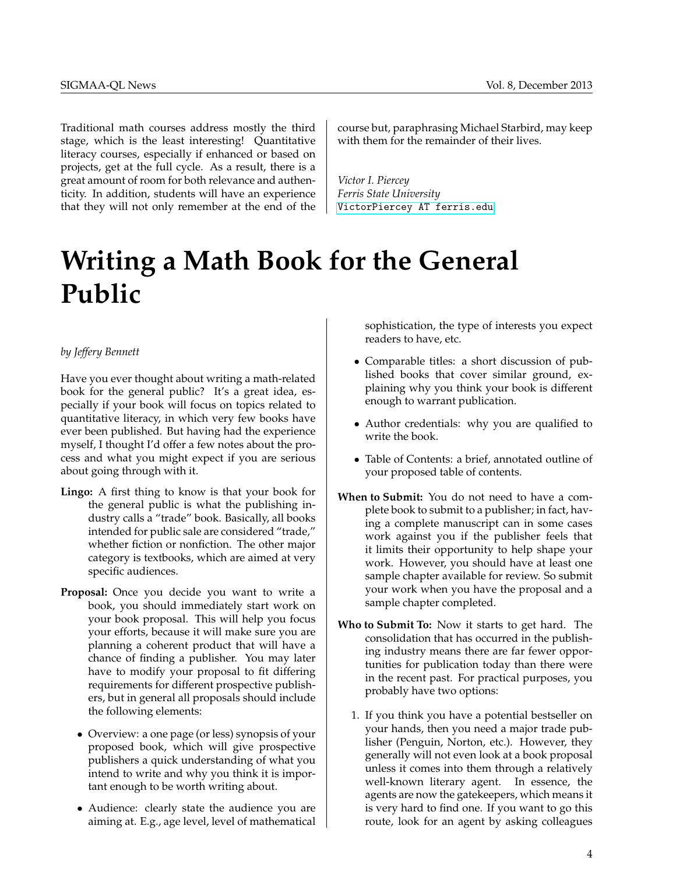Traditional math courses address mostly the third stage, which is the least interesting! Quantitative literacy courses, especially if enhanced or based on projects, get at the full cycle. As a result, there is a great amount of room for both relevance and authenticity. In addition, students will have an experience that they will not only remember at the end of the

# <span id="page-3-0"></span>**Writing a Math Book for the General Public**

#### *by Jeffery Bennett*

Have you ever thought about writing a math-related book for the general public? It's a great idea, especially if your book will focus on topics related to quantitative literacy, in which very few books have ever been published. But having had the experience myself, I thought I'd offer a few notes about the process and what you might expect if you are serious about going through with it.

- **Lingo:** A first thing to know is that your book for the general public is what the publishing industry calls a "trade" book. Basically, all books intended for public sale are considered "trade," whether fiction or nonfiction. The other major category is textbooks, which are aimed at very specific audiences.
- **Proposal:** Once you decide you want to write a book, you should immediately start work on your book proposal. This will help you focus your efforts, because it will make sure you are planning a coherent product that will have a chance of finding a publisher. You may later have to modify your proposal to fit differing requirements for different prospective publishers, but in general all proposals should include the following elements:
	- Overview: a one page (or less) synopsis of your proposed book, which will give prospective publishers a quick understanding of what you intend to write and why you think it is important enough to be worth writing about.
	- Audience: clearly state the audience you are aiming at. E.g., age level, level of mathematical

course but, paraphrasing Michael Starbird, may keep with them for the remainder of their lives.

*Victor I. Piercey Ferris State University* [VictorPiercey AT ferris.edu](mailto:VictorPiercey AT ferris.edu)

> sophistication, the type of interests you expect readers to have, etc.

- Comparable titles: a short discussion of published books that cover similar ground, explaining why you think your book is different enough to warrant publication.
- Author credentials: why you are qualified to write the book.
- Table of Contents: a brief, annotated outline of your proposed table of contents.
- **When to Submit:** You do not need to have a complete book to submit to a publisher; in fact, having a complete manuscript can in some cases work against you if the publisher feels that it limits their opportunity to help shape your work. However, you should have at least one sample chapter available for review. So submit your work when you have the proposal and a sample chapter completed.
- **Who to Submit To:** Now it starts to get hard. The consolidation that has occurred in the publishing industry means there are far fewer opportunities for publication today than there were in the recent past. For practical purposes, you probably have two options:
	- 1. If you think you have a potential bestseller on your hands, then you need a major trade publisher (Penguin, Norton, etc.). However, they generally will not even look at a book proposal unless it comes into them through a relatively well-known literary agent. In essence, the agents are now the gatekeepers, which means it is very hard to find one. If you want to go this route, look for an agent by asking colleagues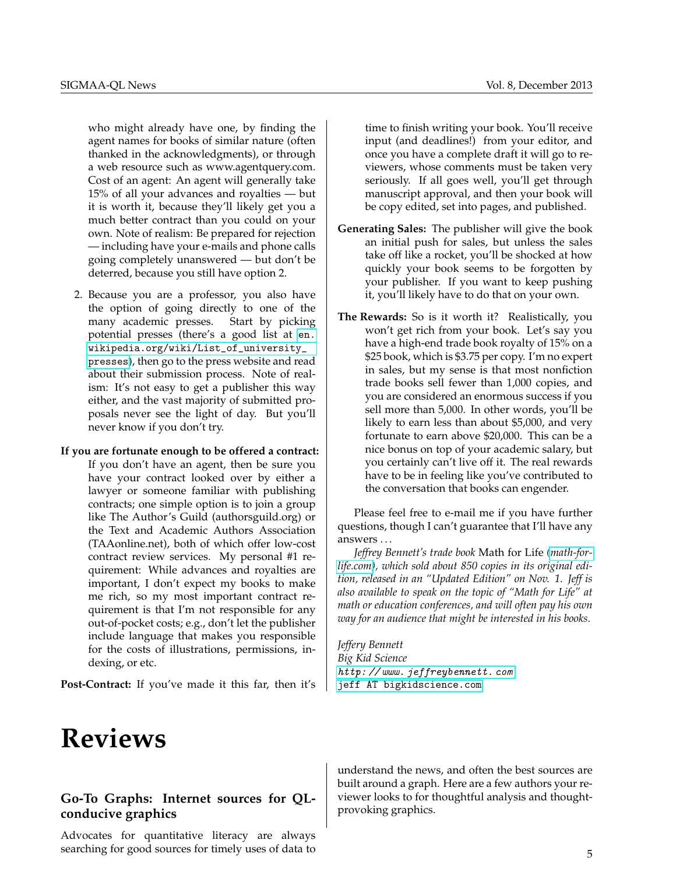who might already have one, by finding the agent names for books of similar nature (often thanked in the acknowledgments), or through a web resource such as www.agentquery.com. Cost of an agent: An agent will generally take 15% of all your advances and royalties — but it is worth it, because they'll likely get you a much better contract than you could on your own. Note of realism: Be prepared for rejection — including have your e-mails and phone calls going completely unanswered — but don't be deterred, because you still have option 2.

2. Because you are a professor, you also have the option of going directly to one of the many academic presses. Start by picking potential presses (there's a good list at [en.](en.wikipedia.org/wiki/List_of_university_presses) [wikipedia.org/wiki/List\\_of\\_university\\_](en.wikipedia.org/wiki/List_of_university_presses) [presses](en.wikipedia.org/wiki/List_of_university_presses)), then go to the press website and read about their submission process. Note of realism: It's not easy to get a publisher this way either, and the vast majority of submitted proposals never see the light of day. But you'll never know if you don't try.

#### **If you are fortunate enough to be offered a contract:**

If you don't have an agent, then be sure you have your contract looked over by either a lawyer or someone familiar with publishing contracts; one simple option is to join a group like The Author's Guild (authorsguild.org) or the Text and Academic Authors Association (TAAonline.net), both of which offer low-cost contract review services. My personal #1 requirement: While advances and royalties are important, I don't expect my books to make me rich, so my most important contract requirement is that I'm not responsible for any out-of-pocket costs; e.g., don't let the publisher include language that makes you responsible for the costs of illustrations, permissions, indexing, or etc.

**Post-Contract:** If you've made it this far, then it's

# <span id="page-4-0"></span>**Reviews**

### **Go-To Graphs: Internet sources for QLconducive graphics**

Advocates for quantitative literacy are always searching for good sources for timely uses of data to time to finish writing your book. You'll receive input (and deadlines!) from your editor, and once you have a complete draft it will go to reviewers, whose comments must be taken very seriously. If all goes well, you'll get through manuscript approval, and then your book will be copy edited, set into pages, and published.

- **Generating Sales:** The publisher will give the book an initial push for sales, but unless the sales take off like a rocket, you'll be shocked at how quickly your book seems to be forgotten by your publisher. If you want to keep pushing it, you'll likely have to do that on your own.
- **The Rewards:** So is it worth it? Realistically, you won't get rich from your book. Let's say you have a high-end trade book royalty of 15% on a \$25 book, which is \$3.75 per copy. I'm no expert in sales, but my sense is that most nonfiction trade books sell fewer than 1,000 copies, and you are considered an enormous success if you sell more than 5,000. In other words, you'll be likely to earn less than about \$5,000, and very fortunate to earn above \$20,000. This can be a nice bonus on top of your academic salary, but you certainly can't live off it. The real rewards have to be in feeling like you've contributed to the conversation that books can engender.

Please feel free to e-mail me if you have further questions, though I can't guarantee that I'll have any answers . . .

*Jeffrey Bennett's trade book* Math for Life *[\(math-for](http://mathforlife.com)[life.com\)](http://mathforlife.com), which sold about 850 copies in its original edition, released in an "Updated Edition" on Nov. 1. Jeff is also available to speak on the topic of "Math for Life" at math or education conferences, and will often pay his own way for an audience that might be interested in his books.*

*Jeffery Bennett Big Kid Science* [http: // www. jeffreybennett. com](http://www.jeffreybennett.com) [jeff AT bigkidscience.com](mailto:jeff AT bigkidscience.com)

understand the news, and often the best sources are built around a graph. Here are a few authors your reviewer looks to for thoughtful analysis and thoughtprovoking graphics.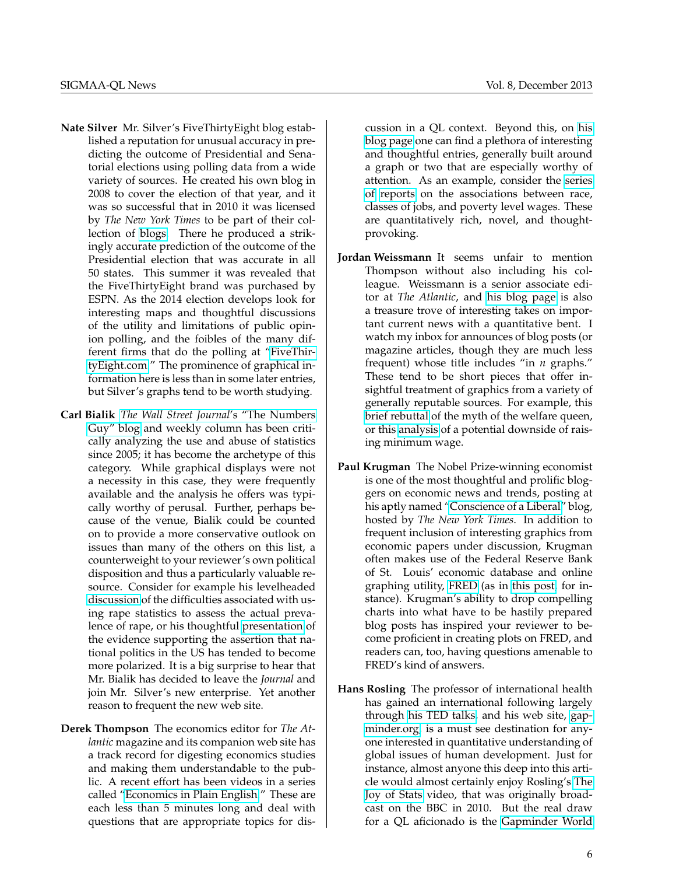- **Nate Silver** Mr. Silver's FiveThirtyEight blog established a reputation for unusual accuracy in predicting the outcome of Presidential and Senatorial elections using polling data from a wide variety of sources. He created his own blog in 2008 to cover the election of that year, and it was so successful that in 2010 it was licensed by *The New York Times* to be part of their collection of [blogs.](http://fivethirtyeight.blogs.nytimes.com/) There he produced a strikingly accurate prediction of the outcome of the Presidential election that was accurate in all 50 states. This summer it was revealed that the FiveThirtyEight brand was purchased by ESPN. As the 2014 election develops look for interesting maps and thoughtful discussions of the utility and limitations of public opinion polling, and the foibles of the many different firms that do the polling at ["FiveThir](http://www.fivethirtyeight.com)[tyEight.com.](http://www.fivethirtyeight.com)" The prominence of graphical information here is less than in some later entries, but Silver's graphs tend to be worth studying.
- **Carl Bialik** *[The Wall Street Journal](http://blogs.wsj.com/numbersguy/)*'s "The Numbers [Guy" blog](http://blogs.wsj.com/numbersguy/) and weekly column has been critically analyzing the use and abuse of statistics since 2005; it has become the archetype of this category. While graphical displays were not a necessity in this case, they were frequently available and the analysis he offers was typically worthy of perusal. Further, perhaps because of the venue, Bialik could be counted on to provide a more conservative outlook on issues than many of the others on this list, a counterweight to your reviewer's own political disposition and thus a particularly valuable resource. Consider for example his levelheaded [discussion](http://blogs.wsj.com/numbersguy/rape-the-darkest-dark-figure-of-crime-1271/) of the difficulties associated with using rape statistics to assess the actual prevalence of rape, or his thoughtful [presentation](http://blogs.wsj.com/numbersguy/a-house-and-senate-divided-1283/) of the evidence supporting the assertion that national politics in the US has tended to become more polarized. It is a big surprise to hear that Mr. Bialik has decided to leave the *Journal* and join Mr. Silver's new enterprise. Yet another reason to frequent the new web site.
- **Derek Thompson** The economics editor for *The Atlantic* magazine and its companion web site has a track record for digesting economics studies and making them understandable to the public. A recent effort has been videos in a series called ["Economics in Plain English.](http://www.theatlantic.com/special-report/economics-simplified)" These are each less than 5 minutes long and deal with questions that are appropriate topics for dis-

cussion in a QL context. Beyond this, on [his](http://www.theatlantic.com/derek-thompson/) [blog page](http://www.theatlantic.com/derek-thompson/) one can find a plethora of interesting and thoughtful entries, generally built around a graph or two that are especially worthy of attention. As an example, consider the [series](http://www.theatlantic.com/business/archive/2012/04/the-10-states-and-10-jobs-with-the-most-low-wage-workers/256553/) [of](http://www.theatlantic.com/business/archive/2013/11/the-workforce-is-even-more-divided-by-race-than-you-think/281175/) [reports](http://www.theatlantic.com/business/archive/2013/11/the-33-whitest-jobs-in-america/281180/) on the associations between race, classes of jobs, and poverty level wages. These are quantitatively rich, novel, and thoughtprovoking.

- **Jordan Weissmann** It seems unfair to mention Thompson without also including his colleague. Weissmann is a senior associate editor at *The Atlantic*, and [his blog page](http://www.theatlantic.com/jordan-weissmann/) is also a treasure trove of interesting takes on important current news with a quantitative bent. I watch my inbox for announces of blog posts (or magazine articles, though they are much less frequent) whose title includes "in *n* graphs." These tend to be short pieces that offer insightful treatment of graphics from a variety of generally reputable sources. For example, this [brief rebuttal](http://www.theatlantic.com/business/archive/2013/12/this-chart-blows-up-the-myth-of-the-welfare-queen/282452/) of the myth of the welfare queen, or this [analysis](http://www.theatlantic.com/business/archive/2013/11/why-every-robot-should-love-the-senates-new-minimum-wage-bill/281293/) of a potential downside of raising minimum wage.
- **Paul Krugman** The Nobel Prize-winning economist is one of the most thoughtful and prolific bloggers on economic news and trends, posting at his aptly named ["Conscience of a Liberal"](http://krugman.blogs.nytimes.com/) blog, hosted by *The New York Times*. In addition to frequent inclusion of interesting graphics from economic papers under discussion, Krugman often makes use of the Federal Reserve Bank of St. Louis' economic database and online graphing utility, [FRED](http://research.stlouisfed.org/fred2/) (as in [this post,](http://krugman.blogs.nytimes.com/2013/12/25/why-corporations-might-not-mind-moderate-depression/) for instance). Krugman's ability to drop compelling charts into what have to be hastily prepared blog posts has inspired your reviewer to become proficient in creating plots on FRED, and readers can, too, having questions amenable to FRED's kind of answers.
- **Hans Rosling** The professor of international health has gained an international following largely through [his TED talks,](http://www.ted.com/speakers/hans_rosling.html) and his web site, [gap](http://www.gapminder.org)[minder.org,](http://www.gapminder.org) is a must see destination for anyone interested in quantitative understanding of global issues of human development. Just for instance, almost anyone this deep into this article would almost certainly enjoy Rosling's [The](http://www.gapminder.org/videos/the-joy-of-stats/) [Joy of Stats](http://www.gapminder.org/videos/the-joy-of-stats/) video, that was originally broadcast on the BBC in 2010. But the real draw for a QL aficionado is the [Gapminder World](http://www.gapminder.org/world/)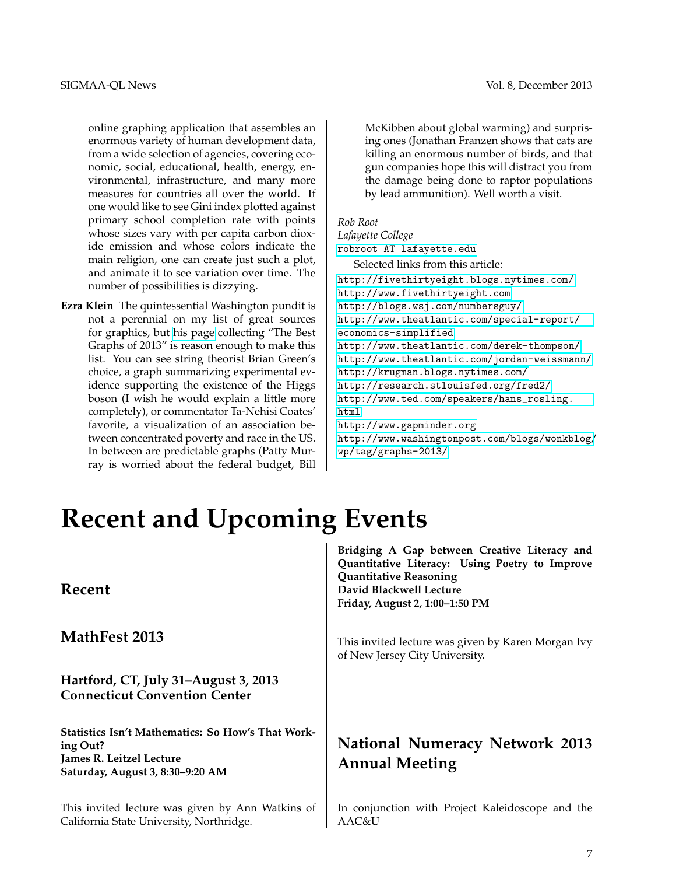online graphing application that assembles an enormous variety of human development data, from a wide selection of agencies, covering economic, social, educational, health, energy, environmental, infrastructure, and many more measures for countries all over the world. If one would like to see Gini index plotted against primary school completion rate with points whose sizes vary with per capita carbon dioxide emission and whose colors indicate the main religion, one can create just such a plot, and animate it to see variation over time. The number of possibilities is dizzying.

**Ezra Klein** The quintessential Washington pundit is not a perennial on my list of great sources for graphics, but [his page](http://www.washingtonpost.com/blogs/wonkblog/wp/tag/graphs-2013/) collecting "The Best Graphs of 2013" is reason enough to make this list. You can see string theorist Brian Green's choice, a graph summarizing experimental evidence supporting the existence of the Higgs boson (I wish he would explain a little more completely), or commentator Ta-Nehisi Coates' favorite, a visualization of an association between concentrated poverty and race in the US. In between are predictable graphs (Patty Murray is worried about the federal budget, Bill McKibben about global warming) and surprising ones (Jonathan Franzen shows that cats are killing an enormous number of birds, and that gun companies hope this will distract you from the damage being done to raptor populations by lead ammunition). Well worth a visit.

*Rob Root Lafayette College* [robroot AT lafayette.edu](mailto:robroot AT lafayette.edu) Selected links from this article: <http://fivethirtyeight.blogs.nytimes.com/> <http://www.fivethirtyeight.com> <http://blogs.wsj.com/numbersguy/> [http://www.theatlantic.com/special-report/](http://www.theatlantic.com/special-report/economics-simplified) [economics-simplified](http://www.theatlantic.com/special-report/economics-simplified) <http://www.theatlantic.com/derek-thompson/> <http://www.theatlantic.com/jordan-weissmann/> <http://krugman.blogs.nytimes.com/> <http://research.stlouisfed.org/fred2/> [http://www.ted.com/speakers/hans\\_rosling.](http://www.ted.com/speakers/hans_rosling.html) [html](http://www.ted.com/speakers/hans_rosling.html) <http://www.gapminder.org> [http://www.washingtonpost.com/blogs/wonkblog/](http://www.washingtonpost.com/blogs/wonkblog/wp/tag/graphs-2013/) [wp/tag/graphs-2013/](http://www.washingtonpost.com/blogs/wonkblog/wp/tag/graphs-2013/)

# <span id="page-6-0"></span>**Recent and Upcoming Events**

## **Recent**

**MathFest 2013**

**Hartford, CT, July 31–August 3, 2013 Connecticut Convention Center**

**Statistics Isn't Mathematics: So How's That Working Out? James R. Leitzel Lecture Saturday, August 3, 8:30–9:20 AM**

This invited lecture was given by Ann Watkins of California State University, Northridge.

**Bridging A Gap between Creative Literacy and Quantitative Literacy: Using Poetry to Improve Quantitative Reasoning David Blackwell Lecture Friday, August 2, 1:00–1:50 PM**

This invited lecture was given by Karen Morgan Ivy of New Jersey City University.

# **National Numeracy Network 2013 Annual Meeting**

In conjunction with Project Kaleidoscope and the AAC&U